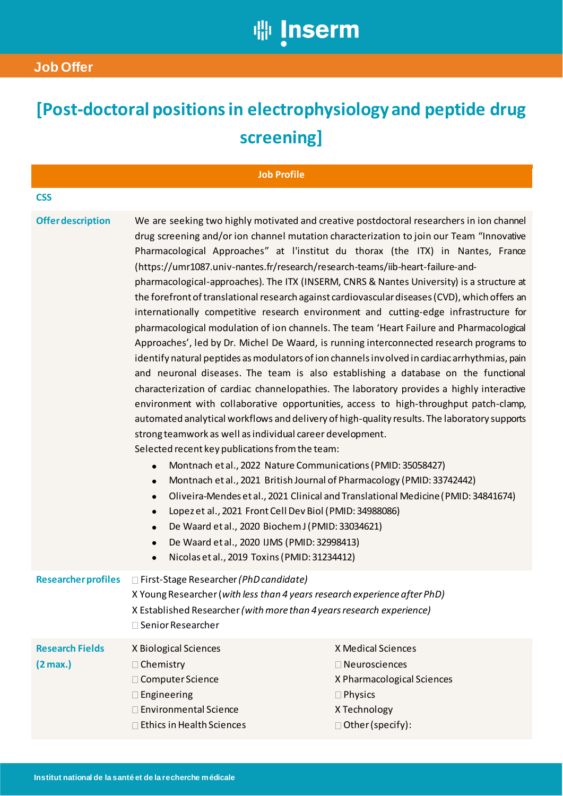

## **[Post-doctoral positions in electrophysiology and peptide drug screening]**

| <b>Job Profile</b>                           |                                                                                                                                                                                                                                                                                                                                                                                                                                                                                                                                                                                                                                                   |                                                                                                                                                                                                                                                                                                                                                                                                                                                                                                                                                                                                                                                                                                                                                                                                                                                                                                                                                                                                                                                                                                                                                                                                                                                                                                                      |
|----------------------------------------------|---------------------------------------------------------------------------------------------------------------------------------------------------------------------------------------------------------------------------------------------------------------------------------------------------------------------------------------------------------------------------------------------------------------------------------------------------------------------------------------------------------------------------------------------------------------------------------------------------------------------------------------------------|----------------------------------------------------------------------------------------------------------------------------------------------------------------------------------------------------------------------------------------------------------------------------------------------------------------------------------------------------------------------------------------------------------------------------------------------------------------------------------------------------------------------------------------------------------------------------------------------------------------------------------------------------------------------------------------------------------------------------------------------------------------------------------------------------------------------------------------------------------------------------------------------------------------------------------------------------------------------------------------------------------------------------------------------------------------------------------------------------------------------------------------------------------------------------------------------------------------------------------------------------------------------------------------------------------------------|
| <b>CSS</b>                                   |                                                                                                                                                                                                                                                                                                                                                                                                                                                                                                                                                                                                                                                   |                                                                                                                                                                                                                                                                                                                                                                                                                                                                                                                                                                                                                                                                                                                                                                                                                                                                                                                                                                                                                                                                                                                                                                                                                                                                                                                      |
| <b>Offer description</b>                     | (https://umr1087.univ-nantes.fr/research/research-teams/iib-heart-failure-and-<br>strong teamwork as well as individual career development.<br>Selected recent key publications from the team:<br>Montnach et al., 2022 Nature Communications (PMID: 35058427)<br>$\bullet$<br>Montnach et al., 2021 British Journal of Pharmacology (PMID: 33742442)<br>$\bullet$<br>$\bullet$<br>Lopez et al., 2021 Front Cell Dev Biol (PMID: 34988086)<br>$\bullet$<br>De Waard et al., 2020 Biochem J (PMID: 33034621)<br>$\bullet$<br>De Waard et al., 2020 IJMS (PMID: 32998413)<br>$\bullet$<br>Nicolas et al., 2019 Toxins (PMID: 31234412)<br>$\bullet$ | We are seeking two highly motivated and creative postdoctoral researchers in ion channel<br>drug screening and/or ion channel mutation characterization to join our Team "Innovative<br>Pharmacological Approaches" at l'institut du thorax (the ITX) in Nantes, France<br>pharmacological-approaches). The ITX (INSERM, CNRS & Nantes University) is a structure at<br>the forefront of translational research against cardiovascular diseases (CVD), which offers an<br>internationally competitive research environment and cutting-edge infrastructure for<br>pharmacological modulation of ion channels. The team 'Heart Failure and Pharmacological<br>Approaches', led by Dr. Michel De Waard, is running interconnected research programs to<br>identify natural peptides as modulators of ion channels involved in cardiac arrhythmias, pain<br>and neuronal diseases. The team is also establishing a database on the functional<br>characterization of cardiac channelopathies. The laboratory provides a highly interactive<br>environment with collaborative opportunities, access to high-throughput patch-clamp,<br>automated analytical workflows and delivery of high-quality results. The laboratory supports<br>Oliveira-Mendes et al., 2021 Clinical and Translational Medicine (PMID: 34841674) |
| <b>Researcher profiles</b>                   | □ First-Stage Researcher (PhD candidate)<br>X Young Researcher (with less than 4 years research experience after PhD)<br>X Established Researcher (with more than 4 years research experience)<br>$\Box$ Senior Researcher                                                                                                                                                                                                                                                                                                                                                                                                                        |                                                                                                                                                                                                                                                                                                                                                                                                                                                                                                                                                                                                                                                                                                                                                                                                                                                                                                                                                                                                                                                                                                                                                                                                                                                                                                                      |
| <b>Research Fields</b><br>$(2 \text{ max.})$ | X Biological Sciences<br>□ Chemistry<br>□ Computer Science<br>$\square$ Engineering<br>□ Environmental Science<br>Ethics in Health Sciences                                                                                                                                                                                                                                                                                                                                                                                                                                                                                                       | X Medical Sciences<br>$\Box$ Neurosciences<br>X Pharmacological Sciences<br>$\Box$ Physics<br>X Technology<br>$\Box$ Other (specify):                                                                                                                                                                                                                                                                                                                                                                                                                                                                                                                                                                                                                                                                                                                                                                                                                                                                                                                                                                                                                                                                                                                                                                                |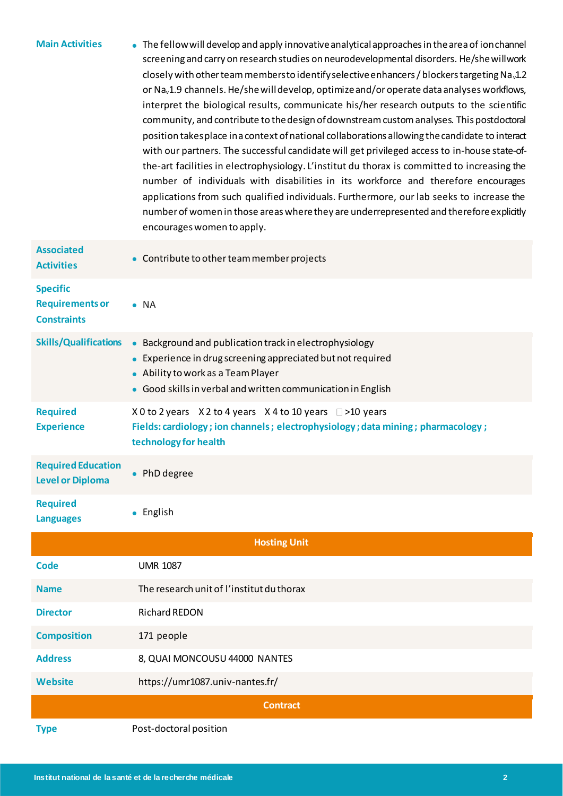| <b>Main Activities</b>                                          | • The fellow will develop and apply innovative analytical approaches in the area of ion channel<br>screening and carry on research studies on neurodevelopmental disorders. He/she willwork<br>closely with other team members to identify selective enhancers / blockers targeting Na <sub>v</sub> 1.2<br>or Na <sub>v</sub> 1.9 channels. He/she will develop, optimize and/or operate data analyses workflows,<br>interpret the biological results, communicate his/her research outputs to the scientific<br>community, and contribute to the design of downstream custom analyses. This postdoctoral<br>position takes place in a context of national collaborations allowing the candidate to interact<br>with our partners. The successful candidate will get privileged access to in-house state-of-<br>the-art facilities in electrophysiology. L'institut du thorax is committed to increasing the<br>number of individuals with disabilities in its workforce and therefore encourages<br>applications from such qualified individuals. Furthermore, our lab seeks to increase the<br>number of women in those areas where they are underrepresented and therefore explicitly<br>encourages women to apply. |  |
|-----------------------------------------------------------------|------------------------------------------------------------------------------------------------------------------------------------------------------------------------------------------------------------------------------------------------------------------------------------------------------------------------------------------------------------------------------------------------------------------------------------------------------------------------------------------------------------------------------------------------------------------------------------------------------------------------------------------------------------------------------------------------------------------------------------------------------------------------------------------------------------------------------------------------------------------------------------------------------------------------------------------------------------------------------------------------------------------------------------------------------------------------------------------------------------------------------------------------------------------------------------------------------------------------|--|
| <b>Associated</b><br><b>Activities</b>                          | • Contribute to other team member projects                                                                                                                                                                                                                                                                                                                                                                                                                                                                                                                                                                                                                                                                                                                                                                                                                                                                                                                                                                                                                                                                                                                                                                             |  |
| <b>Specific</b><br><b>Requirements or</b><br><b>Constraints</b> | $\bullet$ NA                                                                                                                                                                                                                                                                                                                                                                                                                                                                                                                                                                                                                                                                                                                                                                                                                                                                                                                                                                                                                                                                                                                                                                                                           |  |
| <b>Skills/Qualifications</b>                                    | Background and publication track in electrophysiology<br>$\bullet$<br>Experience in drug screening appreciated but not required<br>• Ability to work as a Team Player<br>• Good skills in verbal and written communication in English                                                                                                                                                                                                                                                                                                                                                                                                                                                                                                                                                                                                                                                                                                                                                                                                                                                                                                                                                                                  |  |
| <b>Required</b><br><b>Experience</b>                            | X 0 to 2 years X 2 to 4 years X 4 to 10 years □ >10 years<br>Fields: cardiology; ion channels; electrophysiology; data mining; pharmacology;<br>technology for health                                                                                                                                                                                                                                                                                                                                                                                                                                                                                                                                                                                                                                                                                                                                                                                                                                                                                                                                                                                                                                                  |  |
| <b>Required Education</b><br><b>Level or Diploma</b>            | • PhD degree                                                                                                                                                                                                                                                                                                                                                                                                                                                                                                                                                                                                                                                                                                                                                                                                                                                                                                                                                                                                                                                                                                                                                                                                           |  |
| <b>Required</b><br><b>Languages</b>                             | English<br>$\bullet$                                                                                                                                                                                                                                                                                                                                                                                                                                                                                                                                                                                                                                                                                                                                                                                                                                                                                                                                                                                                                                                                                                                                                                                                   |  |
| <b>Hosting Unit</b>                                             |                                                                                                                                                                                                                                                                                                                                                                                                                                                                                                                                                                                                                                                                                                                                                                                                                                                                                                                                                                                                                                                                                                                                                                                                                        |  |
| <b>Code</b>                                                     | <b>UMR 1087</b>                                                                                                                                                                                                                                                                                                                                                                                                                                                                                                                                                                                                                                                                                                                                                                                                                                                                                                                                                                                                                                                                                                                                                                                                        |  |
| <b>Name</b>                                                     | The research unit of l'institut du thorax                                                                                                                                                                                                                                                                                                                                                                                                                                                                                                                                                                                                                                                                                                                                                                                                                                                                                                                                                                                                                                                                                                                                                                              |  |
| <b>Director</b>                                                 | <b>Richard REDON</b>                                                                                                                                                                                                                                                                                                                                                                                                                                                                                                                                                                                                                                                                                                                                                                                                                                                                                                                                                                                                                                                                                                                                                                                                   |  |
| <b>Composition</b>                                              | 171 people                                                                                                                                                                                                                                                                                                                                                                                                                                                                                                                                                                                                                                                                                                                                                                                                                                                                                                                                                                                                                                                                                                                                                                                                             |  |
| <b>Address</b>                                                  | 8, QUAI MONCOUSU 44000 NANTES                                                                                                                                                                                                                                                                                                                                                                                                                                                                                                                                                                                                                                                                                                                                                                                                                                                                                                                                                                                                                                                                                                                                                                                          |  |
| <b>Website</b>                                                  | https://umr1087.univ-nantes.fr/                                                                                                                                                                                                                                                                                                                                                                                                                                                                                                                                                                                                                                                                                                                                                                                                                                                                                                                                                                                                                                                                                                                                                                                        |  |
| <b>Contract</b>                                                 |                                                                                                                                                                                                                                                                                                                                                                                                                                                                                                                                                                                                                                                                                                                                                                                                                                                                                                                                                                                                                                                                                                                                                                                                                        |  |
| <b>Type</b>                                                     | Post-doctoral position                                                                                                                                                                                                                                                                                                                                                                                                                                                                                                                                                                                                                                                                                                                                                                                                                                                                                                                                                                                                                                                                                                                                                                                                 |  |